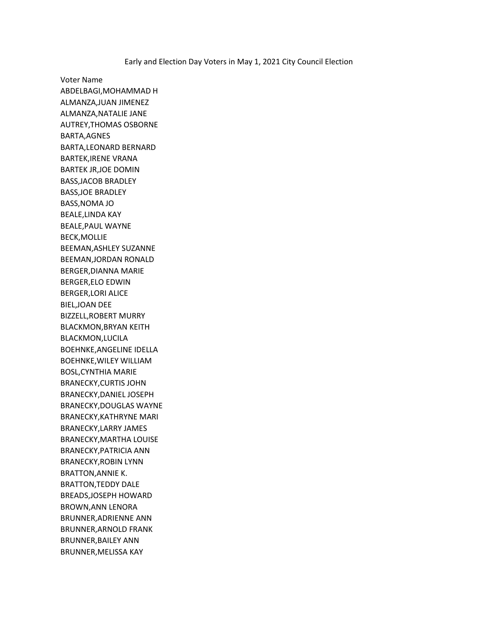Voter Name ABDELBAGI,MOHAMMAD H ALMANZA,JUAN JIMENEZ ALMANZA,NATALIE JANE AUTREY,THOMAS OSBORNE BARTA,AGNES BARTA,LEONARD BERNARD BARTEK,IRENE VRANA BARTEK JR,JOE DOMIN BASS,JACOB BRADLEY BASS,JOE BRADLEY BASS,NOMA JO BEALE,LINDA KAY BEALE,PAUL WAYNE BECK,MOLLIE BEEMAN,ASHLEY SUZANNE BEEMAN,JORDAN RONALD BERGER,DIANNA MARIE BERGER,ELO EDWIN BERGER,LORI ALICE BIEL,JOAN DEE BIZZELL,ROBERT MURRY BLACKMON,BRYAN KEITH BLACKMON,LUCILA BOEHNKE,ANGELINE IDELLA BOEHNKE,WILEY WILLIAM BOSL,CYNTHIA MARIE BRANECKY,CURTIS JOHN BRANECKY,DANIEL JOSEPH BRANECKY,DOUGLAS WAYNE BRANECKY,KATHRYNE MARI BRANECKY,LARRY JAMES BRANECKY,MARTHA LOUISE BRANECKY,PATRICIA ANN BRANECKY,ROBIN LYNN BRATTON,ANNIE K. BRATTON,TEDDY DALE BREADS,JOSEPH HOWARD BROWN,ANN LENORA BRUNNER,ADRIENNE ANN BRUNNER,ARNOLD FRANK BRUNNER,BAILEY ANN BRUNNER,MELISSA KAY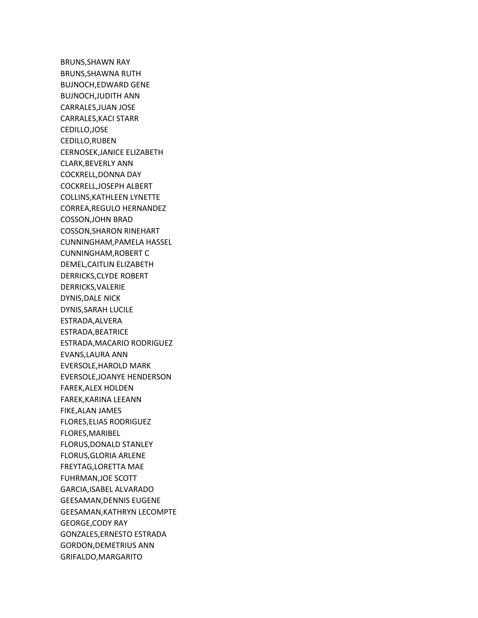BRUNS,SHAWN RAY BRUNS,SHAWNA RUTH BUJNOCH,EDWARD GENE BUJNOCH,JUDITH ANN CARRALES,JUAN JOSE CARRALES,KACI STARR CEDILLO,JOSE CEDILLO,RUBEN CERNOSEK,JANICE ELIZABETH CLARK,BEVERLY ANN COCKRELL,DONNA DAY COCKRELL,JOSEPH ALBERT COLLINS,KATHLEEN LYNETTE CORREA,REGULO HERNANDEZ COSSON,JOHN BRAD COSSON,SHARON RINEHART CUNNINGHAM,PAMELA HASSEL CUNNINGHAM,ROBERT C DEMEL,CAITLIN ELIZABETH DERRICKS,CLYDE ROBERT DERRICKS,VALERIE DYNIS,DALE NICK DYNIS,SARAH LUCILE ESTRADA,ALVERA ESTRADA,BEATRICE ESTRADA,MACARIO RODRIGUEZ EVANS,LAURA ANN EVERSOLE,HAROLD MARK EVERSOLE,JOANYE HENDERSON FAREK,ALEX HOLDEN FAREK,KARINA LEEANN FIKE,ALAN JAMES FLORES,ELIAS RODRIGUEZ FLORES,MARIBEL FLORUS,DONALD STANLEY FLORUS,GLORIA ARLENE FREYTAG,LORETTA MAE FUHRMAN,JOE SCOTT GARCIA,ISABEL ALVARADO GEESAMAN,DENNIS EUGENE GEESAMAN,KATHRYN LECOMPTE GEORGE,CODY RAY GONZALES,ERNESTO ESTRADA GORDON,DEMETRIUS ANN GRIFALDO,MARGARITO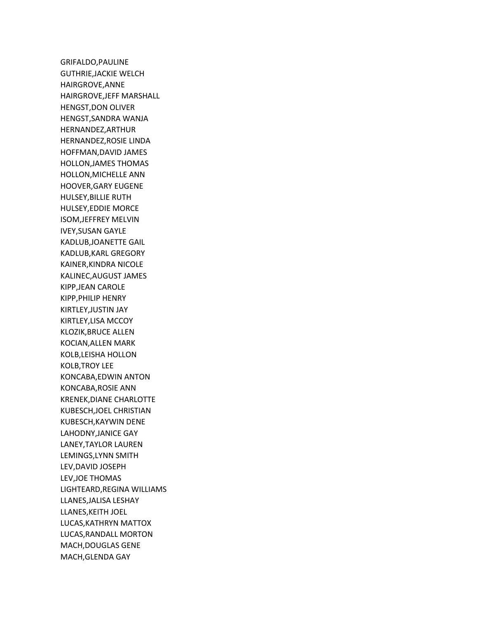GRIFALDO,PAULINE GUTHRIE,JACKIE WELCH HAIRGROVE,ANNE HAIRGROVE,JEFF MARSHALL HENGST,DON OLIVER HENGST,SANDRA WANJA HERNANDEZ,ARTHUR HERNANDEZ,ROSIE LINDA HOFFMAN,DAVID JAMES HOLLON,JAMES THOMAS HOLLON,MICHELLE ANN HOOVER,GARY EUGENE HULSEY,BILLIE RUTH HULSEY,EDDIE MORCE ISOM,JEFFREY MELVIN IVEY,SUSAN GAYLE KADLUB,JOANETTE GAIL KADLUB,KARL GREGORY KAINER,KINDRA NICOLE KALINEC,AUGUST JAMES KIPP,JEAN CAROLE KIPP,PHILIP HENRY KIRTLEY,JUSTIN JAY KIRTLEY,LISA MCCOY KLOZIK,BRUCE ALLEN KOCIAN,ALLEN MARK KOLB,LEISHA HOLLON KOLB,TROY LEE KONCABA,EDWIN ANTON KONCABA,ROSIE ANN KRENEK,DIANE CHARLOTTE KUBESCH,JOEL CHRISTIAN KUBESCH,KAYWIN DENE LAHODNY,JANICE GAY LANEY,TAYLOR LAUREN LEMINGS,LYNN SMITH LEV,DAVID JOSEPH LEV,JOE THOMAS LIGHTEARD,REGINA WILLIAMS LLANES,JALISA LESHAY LLANES,KEITH JOEL LUCAS,KATHRYN MATTOX LUCAS,RANDALL MORTON MACH,DOUGLAS GENE MACH,GLENDA GAY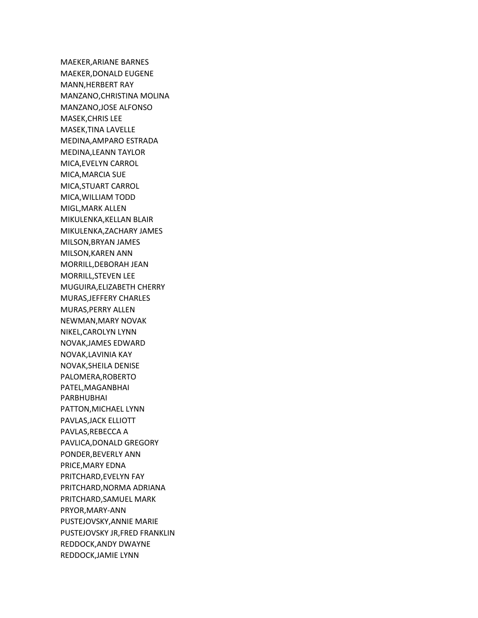MAEKER,ARIANE BARNES MAEKER,DONALD EUGENE MANN,HERBERT RAY MANZANO,CHRISTINA MOLINA MANZANO,JOSE ALFONSO MASEK,CHRIS LEE MASEK,TINA LAVELLE MEDINA,AMPARO ESTRADA MEDINA,LEANN TAYLOR MICA,EVELYN CARROL MICA,MARCIA SUE MICA,STUART CARROL MICA,WILLIAM TODD MIGL,MARK ALLEN MIKULENKA,KELLAN BLAIR MIKULENKA,ZACHARY JAMES MILSON,BRYAN JAMES MILSON,KAREN ANN MORRILL,DEBORAH JEAN MORRILL,STEVEN LEE MUGUIRA,ELIZABETH CHERRY MURAS,JEFFERY CHARLES MURAS,PERRY ALLEN NEWMAN,MARY NOVAK NIKEL,CAROLYN LYNN NOVAK,JAMES EDWARD NOVAK,LAVINIA KAY NOVAK,SHEILA DENISE PALOMERA,ROBERTO PATEL,MAGANBHAI PARBHUBHAI PATTON,MICHAEL LYNN PAVLAS,JACK ELLIOTT PAVLAS,REBECCA A PAVLICA,DONALD GREGORY PONDER,BEVERLY ANN PRICE,MARY EDNA PRITCHARD,EVELYN FAY PRITCHARD,NORMA ADRIANA PRITCHARD,SAMUEL MARK PRYOR,MARY-ANN PUSTEJOVSKY,ANNIE MARIE PUSTEJOVSKY JR,FRED FRANKLIN REDDOCK,ANDY DWAYNE REDDOCK,JAMIE LYNN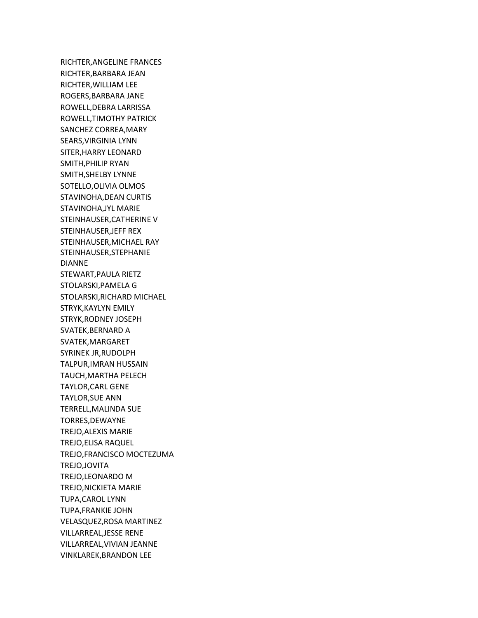RICHTER,ANGELINE FRANCES RICHTER,BARBARA JEAN RICHTER,WILLIAM LEE ROGERS,BARBARA JANE ROWELL,DEBRA LARRISSA ROWELL,TIMOTHY PATRICK SANCHEZ CORREA,MARY SEARS,VIRGINIA LYNN SITER,HARRY LEONARD SMITH,PHILIP RYAN SMITH,SHELBY LYNNE SOTELLO,OLIVIA OLMOS STAVINOHA,DEAN CURTIS STAVINOHA,JYL MARIE STEINHAUSER,CATHERINE V STEINHAUSER,JEFF REX STEINHAUSER,MICHAEL RAY STEINHAUSER,STEPHANIE DIANNE STEWART,PAULA RIETZ STOLARSKI,PAMELA G STOLARSKI,RICHARD MICHAEL STRYK,KAYLYN EMILY STRYK,RODNEY JOSEPH SVATEK,BERNARD A SVATEK,MARGARET SYRINEK JR,RUDOLPH TALPUR,IMRAN HUSSAIN TAUCH,MARTHA PELECH TAYLOR,CARL GENE TAYLOR,SUE ANN TERRELL,MALINDA SUE TORRES,DEWAYNE TREJO,ALEXIS MARIE TREJO,ELISA RAQUEL TREJO,FRANCISCO MOCTEZUMA TREJO,JOVITA TREJO,LEONARDO M TREJO,NICKIETA MARIE TUPA,CAROL LYNN TUPA,FRANKIE JOHN VELASQUEZ,ROSA MARTINEZ VILLARREAL,JESSE RENE VILLARREAL,VIVIAN JEANNE VINKLAREK,BRANDON LEE